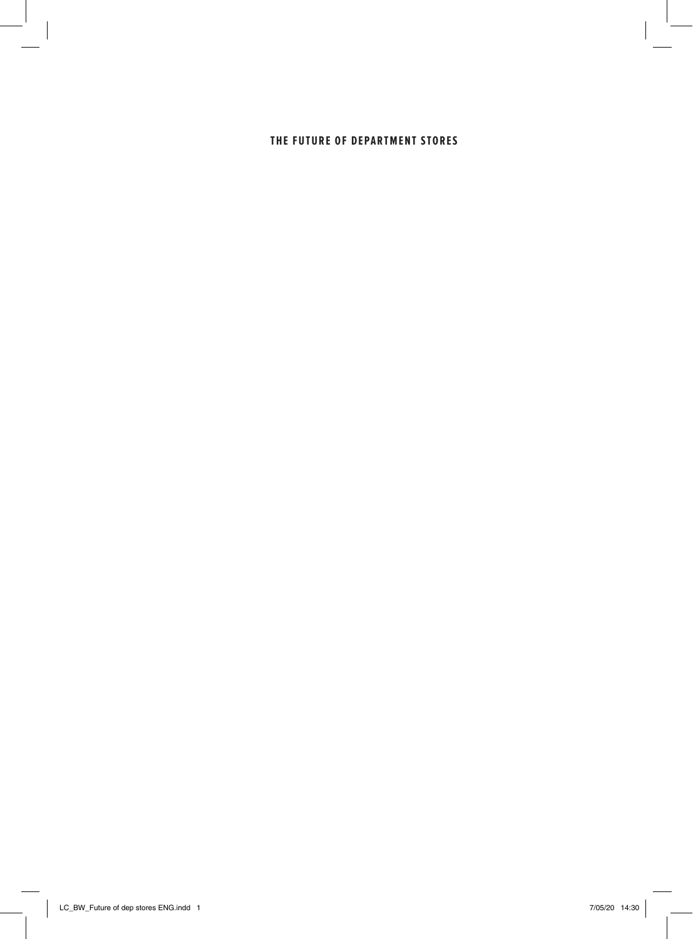### **THE FUTURE OF DEPARTMENT STORES**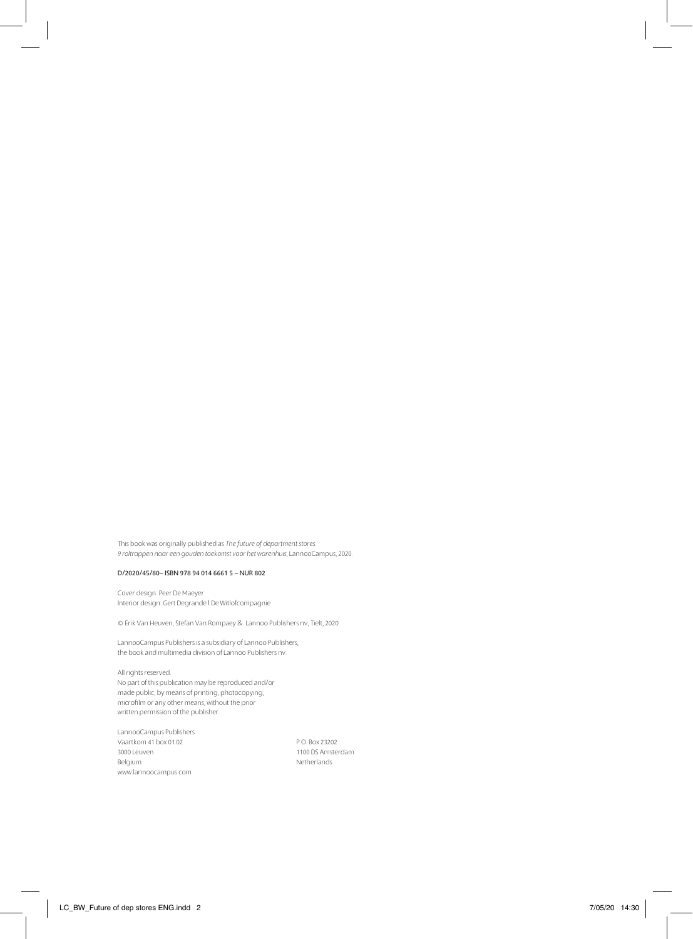This book was originally published as *The future of department stores. 9 roltrappen naar een gouden toekomst voor het warenhuis*, LannooCampus, 2020.

#### D/2020/45/80– ISBN 978 94 014 6661 5 – NUR 802

Cover design: Peer De Maeyer Interior design: Gert Degrande | De Witlofcompagnie

© Erik Van Heuven, Stefan Van Rompaey & Lannoo Publishers nv, Tielt, 2020.

LannooCampus Publishers is a subsidiary of Lannoo Publishers, the book and multimedia division of Lannoo Publishers nv.

All rights reserved. No part of this publication may be reproduced and/or made public, by means of printing, photocopying, microfilm or any other means, without the prior written permission of the publisher.

LannooCampus Publishers Vaartkom 41 box 01.02<br>3000 Leuven en aangeste van die 1100 DS Amstel Belgium Netherlands www.lannoocampus.com

1100 DS Amsterdam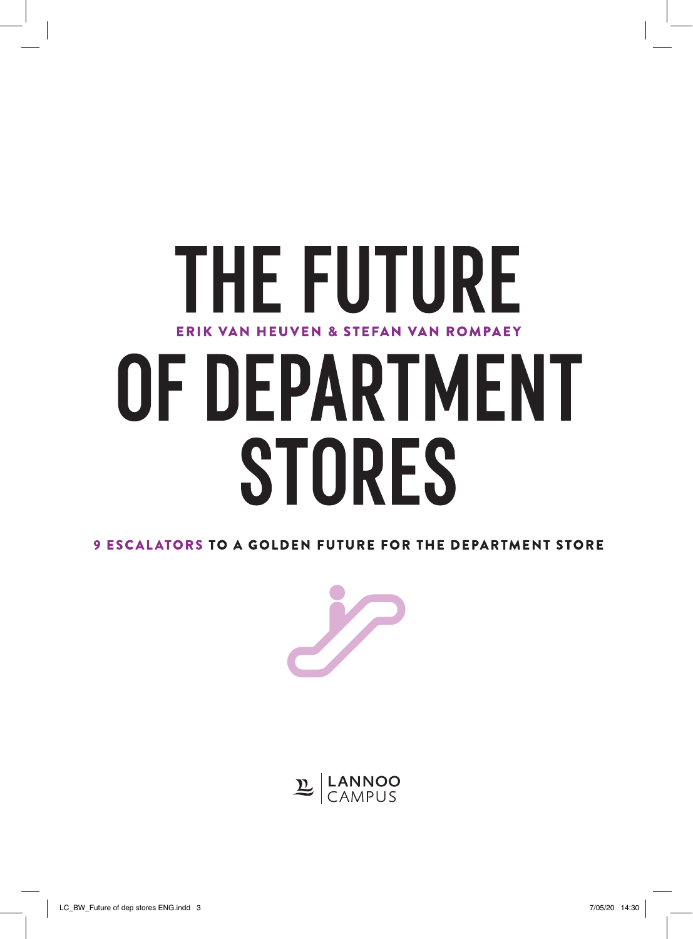# **THE FUTURE ERIK VAN HEUVEN & STEFAN VAN ROMPAEY** OF DEPARTMENT STORES

**9 ESCALATORS TO A GOLDEN FUTURE FOR THE DEPARTMENT STORE** 



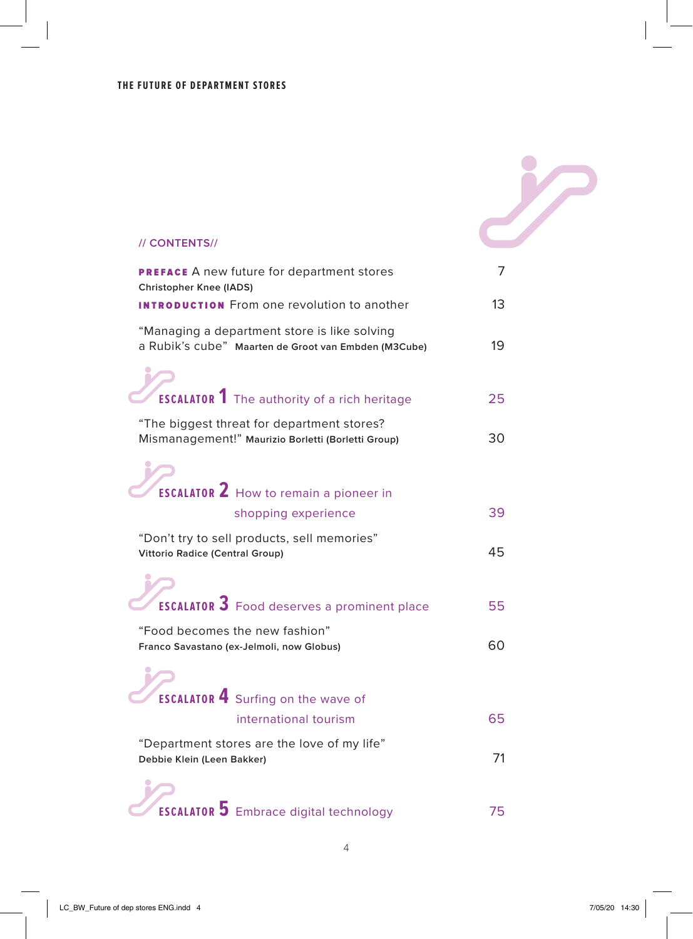

**// CONTENTS//**

**ESCALATOR 5** Embrace digital technology 75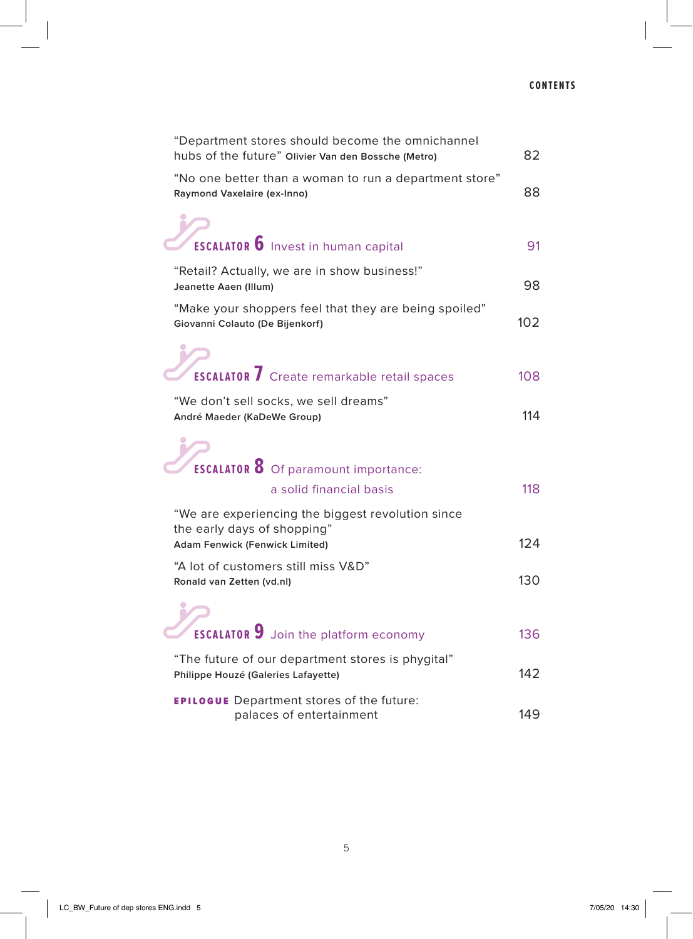| "Department stores should become the omnichannel<br>hubs of the future" Olivier Van den Bossche (Metro) | 82  |
|---------------------------------------------------------------------------------------------------------|-----|
| "No one better than a woman to run a department store"<br>Raymond Vaxelaire (ex-Inno)                   | 88  |
|                                                                                                         |     |
| <b>ESCALATOR 6</b> Invest in human capital                                                              | 91  |
| "Retail? Actually, we are in show business!"<br>Jeanette Aaen (Illum)                                   | 98  |
| "Make your shoppers feel that they are being spoiled"<br>Giovanni Colauto (De Bijenkorf)                | 102 |
|                                                                                                         |     |
| <b>ESCALATOR 7</b> Create remarkable retail spaces                                                      | 108 |
| "We don't sell socks, we sell dreams"<br>André Maeder (KaDeWe Group)                                    | 114 |
|                                                                                                         |     |
| <b>ESCALATOR 8</b> Of paramount importance:                                                             |     |
| a solid financial basis                                                                                 | 118 |
| "We are experiencing the biggest revolution since                                                       |     |
| the early days of shopping"<br>Adam Fenwick (Fenwick Limited)                                           | 124 |
| "A lot of customers still miss V&D"<br>Ronald van Zetten (vd.nl)                                        | 130 |
|                                                                                                         |     |
| <b>ESCALATOR 9</b> Join the platform economy                                                            | 136 |
| "The future of our department stores is phygital"<br>Philippe Houzé (Galeries Lafayette)                | 142 |
| <b>EPILOGUE</b> Department stores of the future:<br>palaces of entertainment                            | 149 |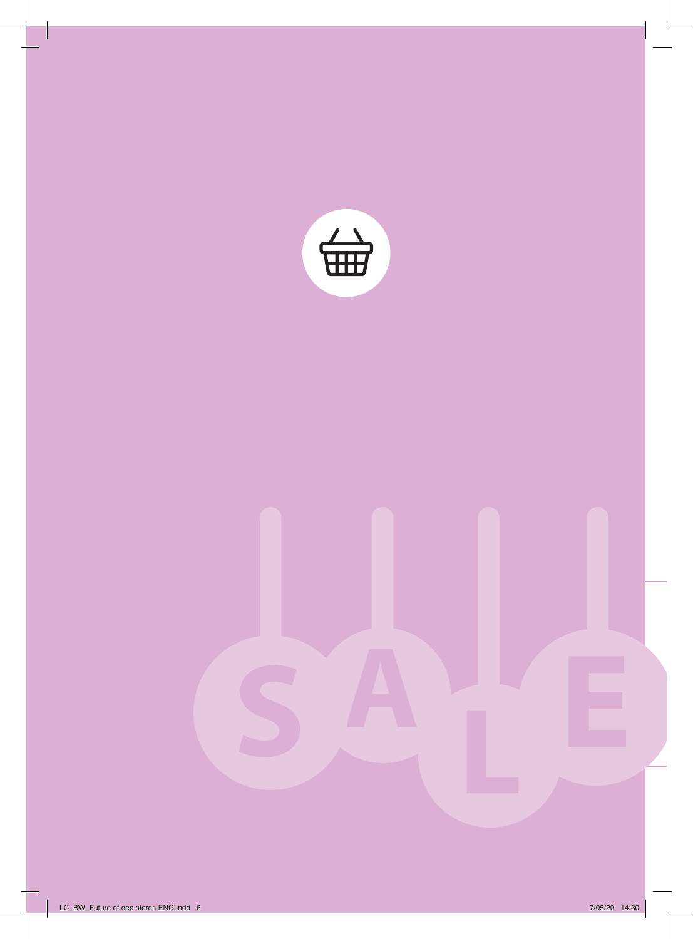

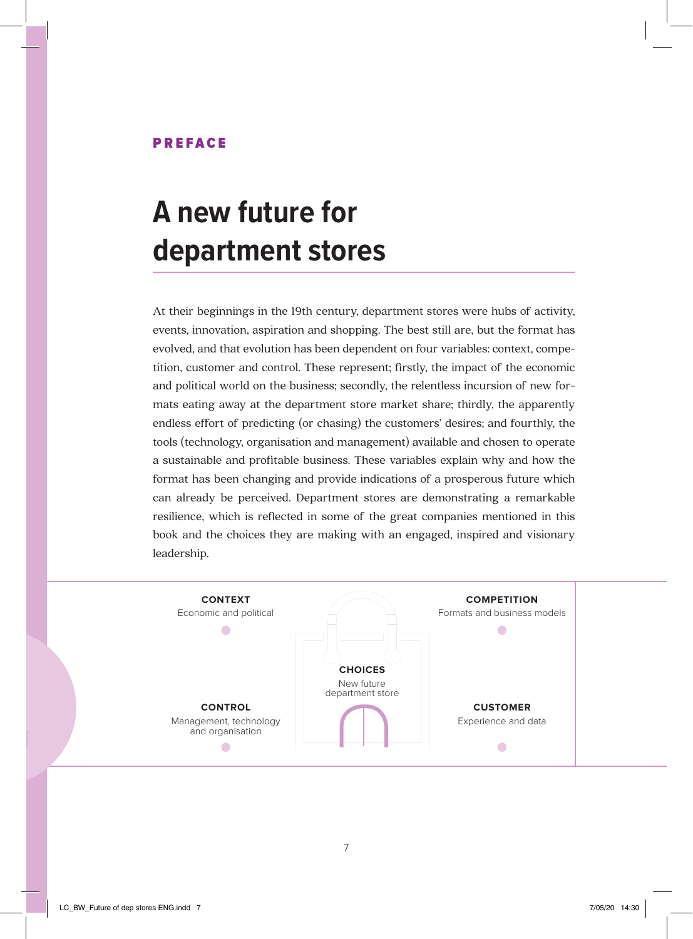### PREFACE

## **A new future for department stores**

At their beginnings in the 19th century, department stores were hubs of activity, events, innovation, aspiration and shopping. The best still are, but the format has evolved, and that evolution has been dependent on four variables: context, competition, customer and control. These represent; firstly, the impact of the economic and political world on the business; secondly, the relentless incursion of new formats eating away at the department store market share; thirdly, the apparently endless effort of predicting (or chasing) the customers' desires; and fourthly, the tools (technology, organisation and management) available and chosen to operate a sustainable and profitable business. These variables explain why and how the format has been changing and provide indications of a prosperous future which can already be perceived. Department stores are demonstrating a remarkable resilience, which is reflected in some of the great companies mentioned in this book and the choices they are making with an engaged, inspired and visionary leadership.

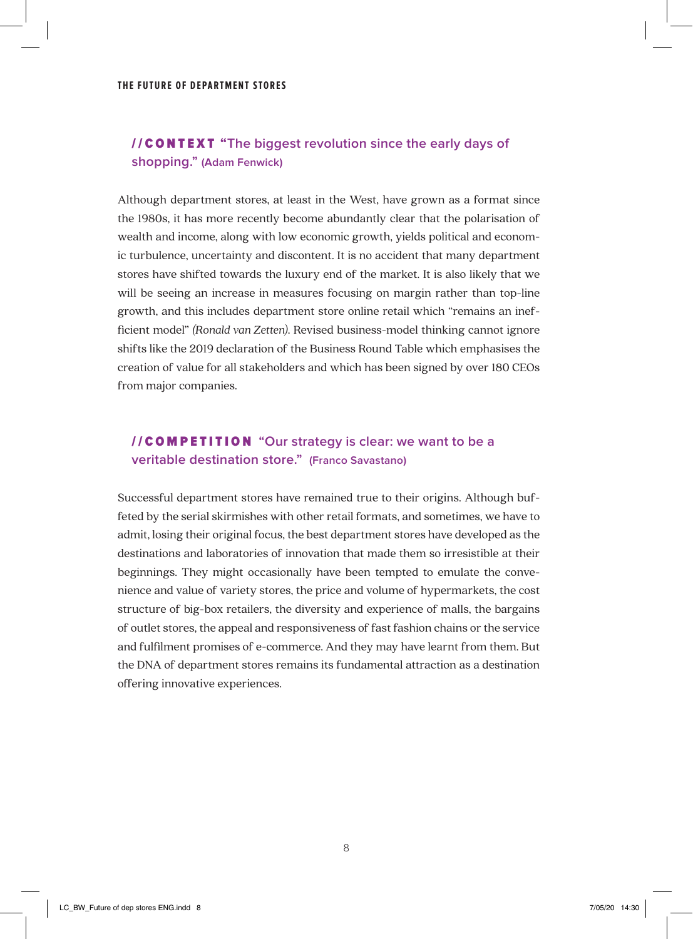### //CONTEXT **"The biggest revolution since the early days of shopping." (Adam Fenwick)**

Although department stores, at least in the West, have grown as a format since the 1980s, it has more recently become abundantly clear that the polarisation of wealth and income, along with low economic growth, yields political and economic turbulence, uncertainty and discontent. It is no accident that many department stores have shifted towards the luxury end of the market. It is also likely that we will be seeing an increase in measures focusing on margin rather than top-line growth, and this includes department store online retail which "remains an inefficient model" *(Ronald van Zetten)*. Revised business-model thinking cannot ignore shifts like the 2019 declaration of the Business Round Table which emphasises the creation of value for all stakeholders and which has been signed by over 180 CEOs from major companies.

### //COMPETITION **"Our strategy is clear: we want to be a veritable destination store." (Franco Savastano)**

Successful department stores have remained true to their origins. Although buffeted by the serial skirmishes with other retail formats, and sometimes, we have to admit, losing their original focus, the best department stores have developed as the destinations and laboratories of innovation that made them so irresistible at their beginnings. They might occasionally have been tempted to emulate the convenience and value of variety stores, the price and volume of hypermarkets, the cost structure of big-box retailers, the diversity and experience of malls, the bargains of outlet stores, the appeal and responsiveness of fast fashion chains or the service and fulfilment promises of e-commerce. And they may have learnt from them. But the DNA of department stores remains its fundamental attraction as a destination offering innovative experiences.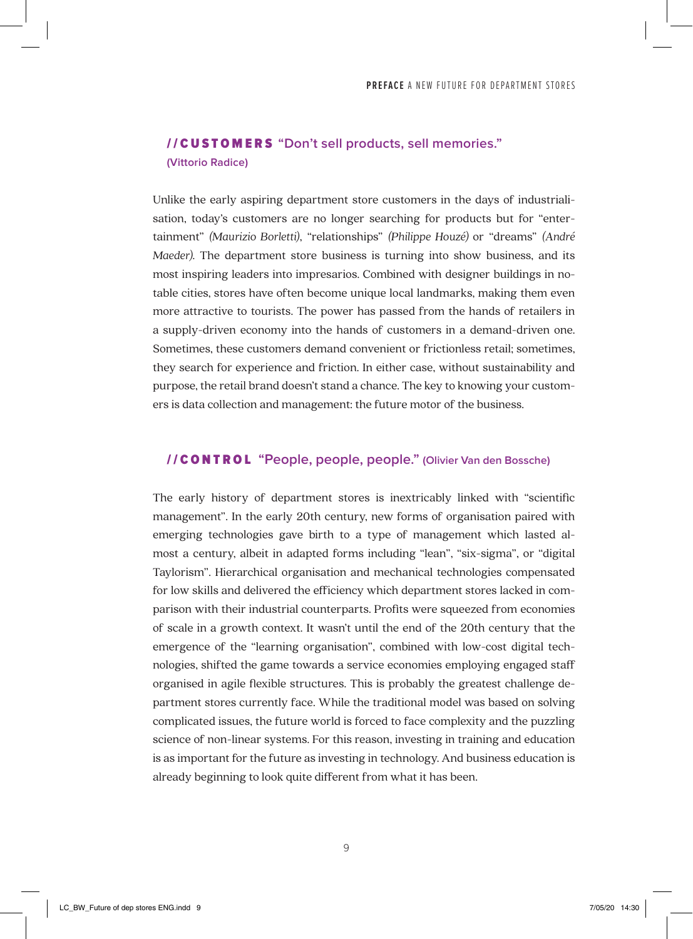### //CUSTOMERS **"Don't sell products, sell memories." (Vittorio Radice)**

Unlike the early aspiring department store customers in the days of industrialisation, today's customers are no longer searching for products but for "entertainment" *(Maurizio Borletti)*, "relationships" *(Philippe Houzé)* or "dreams" *(André Maeder).* The department store business is turning into show business, and its most inspiring leaders into impresarios. Combined with designer buildings in notable cities, stores have often become unique local landmarks, making them even more attractive to tourists. The power has passed from the hands of retailers in a supply-driven economy into the hands of customers in a demand-driven one. Sometimes, these customers demand convenient or frictionless retail; sometimes, they search for experience and friction. In either case, without sustainability and purpose, the retail brand doesn't stand a chance. The key to knowing your customers is data collection and management: the future motor of the business.

### //CONTROL **"People, people, people." (Olivier Van den Bossche)**

The early history of department stores is inextricably linked with "scientific management". In the early 20th century, new forms of organisation paired with emerging technologies gave birth to a type of management which lasted almost a century, albeit in adapted forms including "lean", "six-sigma", or "digital Taylorism". Hierarchical organisation and mechanical technologies compensated for low skills and delivered the efficiency which department stores lacked in comparison with their industrial counterparts. Profits were squeezed from economies of scale in a growth context. It wasn't until the end of the 20th century that the emergence of the "learning organisation", combined with low-cost digital technologies, shifted the game towards a service economies employing engaged staff organised in agile flexible structures. This is probably the greatest challenge department stores currently face. While the traditional model was based on solving complicated issues, the future world is forced to face complexity and the puzzling science of non-linear systems. For this reason, investing in training and education is as important for the future as investing in technology. And business education is already beginning to look quite different from what it has been.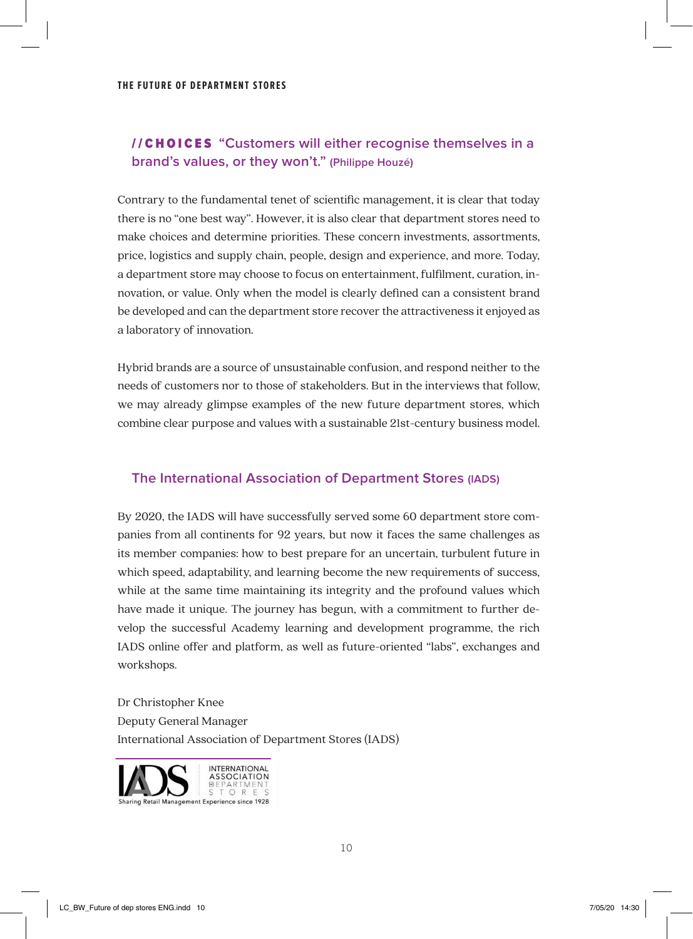### //CHOICES **"Customers will either recognise themselves in a brand's values, or they won't." (Philippe Houzé)**

Contrary to the fundamental tenet of scientific management, it is clear that today there is no "one best way". However, it is also clear that department stores need to make choices and determine priorities. These concern investments, assortments, price, logistics and supply chain, people, design and experience, and more. Today, a department store may choose to focus on entertainment, fulfilment, curation, innovation, or value. Only when the model is clearly defined can a consistent brand be developed and can the department store recover the attractiveness it enjoyed as a laboratory of innovation.

Hybrid brands are a source of unsustainable confusion, and respond neither to the needs of customers nor to those of stakeholders. But in the interviews that follow, we may already glimpse examples of the new future department stores, which combine clear purpose and values with a sustainable 21st-century business model.

### **The International Association of Department Stores (IADS)**

By 2020, the IADS will have successfully served some 60 department store companies from all continents for 92 years, but now it faces the same challenges as its member companies: how to best prepare for an uncertain, turbulent future in which speed, adaptability, and learning become the new requirements of success, while at the same time maintaining its integrity and the profound values which have made it unique. The journey has begun, with a commitment to further develop the successful Academy learning and development programme, the rich IADS online offer and platform, as well as future-oriented "labs", exchanges and workshops.

Dr Christopher Knee Deputy General Manager International Association of Department Stores (IADS)

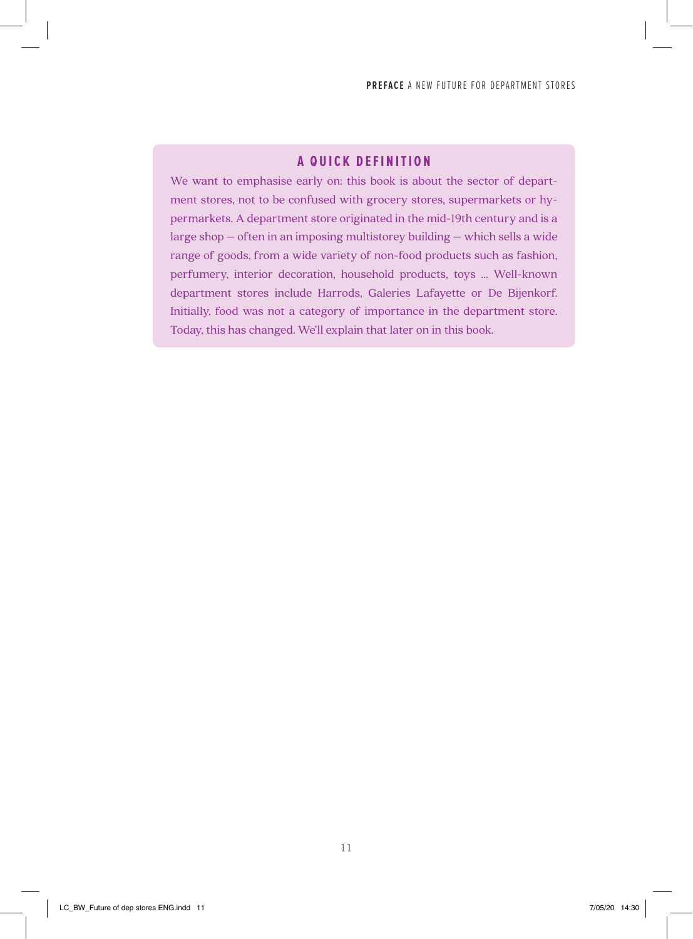### **A QUICK DEFINITION**

We want to emphasise early on: this book is about the sector of department stores, not to be confused with grocery stores, supermarkets or hypermarkets. A department store originated in the mid-19th century and is a large shop – often in an imposing multistorey building – which sells a wide range of goods, from a wide variety of non-food products such as fashion, perfumery, interior decoration, household products, toys ... Well-known department stores include Harrods, Galeries Lafayette or De Bijenkorf. Initially, food was not a category of importance in the department store. Today, this has changed. We'll explain that later on in this book.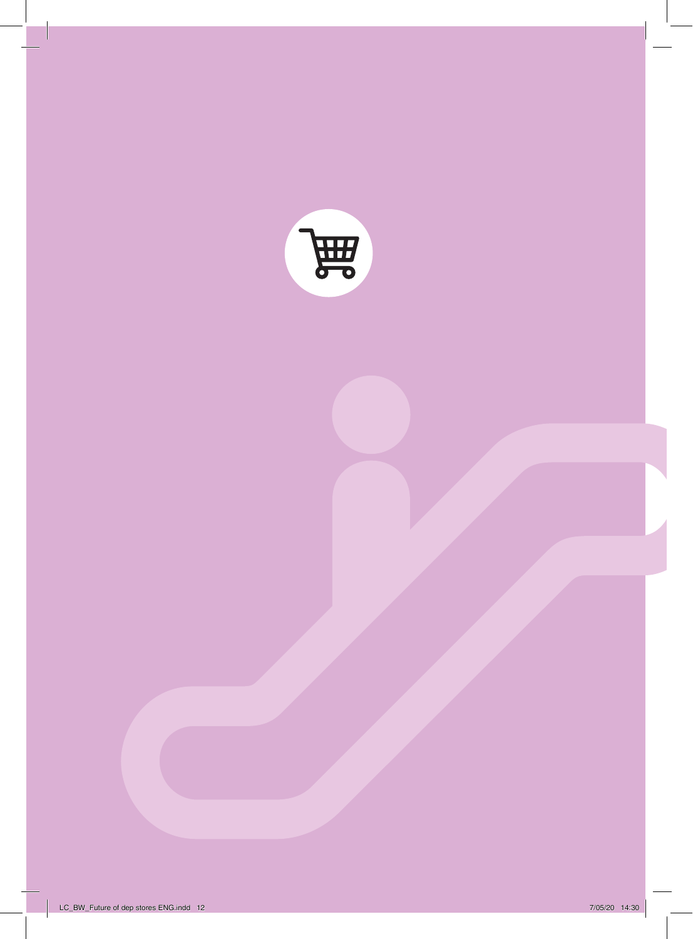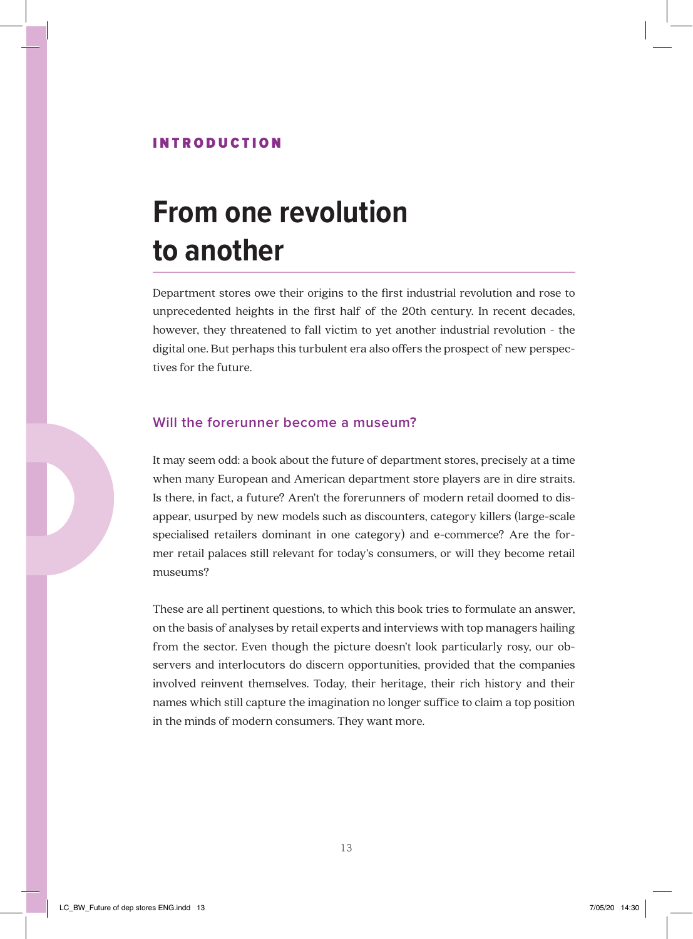### **INTRODUCTION**

# **From one revolution to another**

Department stores owe their origins to the first industrial revolution and rose to unprecedented heights in the first half of the 20th century. In recent decades, however, they threatened to fall victim to yet another industrial revolution - the digital one. But perhaps this turbulent era also offers the prospect of new perspectives for the future.

### **Will the forerunner become a museum?**

It may seem odd: a book about the future of department stores, precisely at a time when many European and American department store players are in dire straits. Is there, in fact, a future? Aren't the forerunners of modern retail doomed to disappear, usurped by new models such as discounters, category killers (large-scale specialised retailers dominant in one category) and e-commerce? Are the former retail palaces still relevant for today's consumers, or will they become retail museums?

These are all pertinent questions, to which this book tries to formulate an answer, on the basis of analyses by retail experts and interviews with top managers hailing from the sector. Even though the picture doesn't look particularly rosy, our observers and interlocutors do discern opportunities, provided that the companies involved reinvent themselves. Today, their heritage, their rich history and their names which still capture the imagination no longer suffice to claim a top position in the minds of modern consumers. They want more.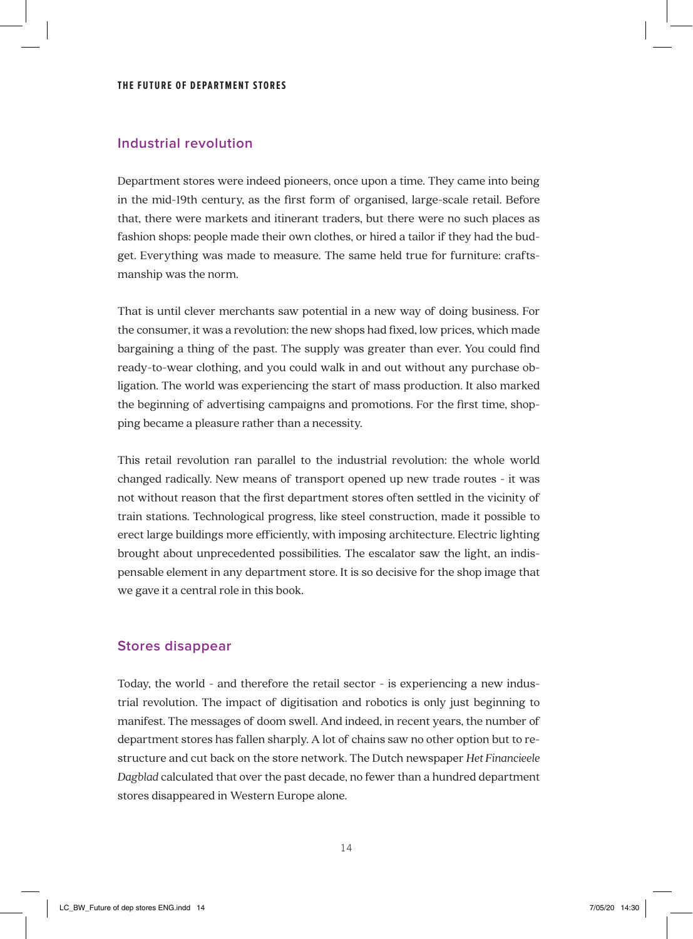### **Industrial revolution**

Department stores were indeed pioneers, once upon a time. They came into being in the mid-19th century, as the first form of organised, large-scale retail. Before that, there were markets and itinerant traders, but there were no such places as fashion shops: people made their own clothes, or hired a tailor if they had the budget. Everything was made to measure. The same held true for furniture: craftsmanship was the norm.

That is until clever merchants saw potential in a new way of doing business. For the consumer, it was a revolution: the new shops had fixed, low prices, which made bargaining a thing of the past. The supply was greater than ever. You could find ready-to-wear clothing, and you could walk in and out without any purchase obligation. The world was experiencing the start of mass production. It also marked the beginning of advertising campaigns and promotions. For the first time, shopping became a pleasure rather than a necessity.

This retail revolution ran parallel to the industrial revolution: the whole world changed radically. New means of transport opened up new trade routes - it was not without reason that the first department stores often settled in the vicinity of train stations. Technological progress, like steel construction, made it possible to erect large buildings more efficiently, with imposing architecture. Electric lighting brought about unprecedented possibilities. The escalator saw the light, an indispensable element in any department store. It is so decisive for the shop image that we gave it a central role in this book.

### **Stores disappear**

Today, the world - and therefore the retail sector - is experiencing a new industrial revolution. The impact of digitisation and robotics is only just beginning to manifest. The messages of doom swell. And indeed, in recent years, the number of department stores has fallen sharply. A lot of chains saw no other option but to restructure and cut back on the store network. The Dutch newspaper *Het Financieele Dagblad* calculated that over the past decade, no fewer than a hundred department stores disappeared in Western Europe alone.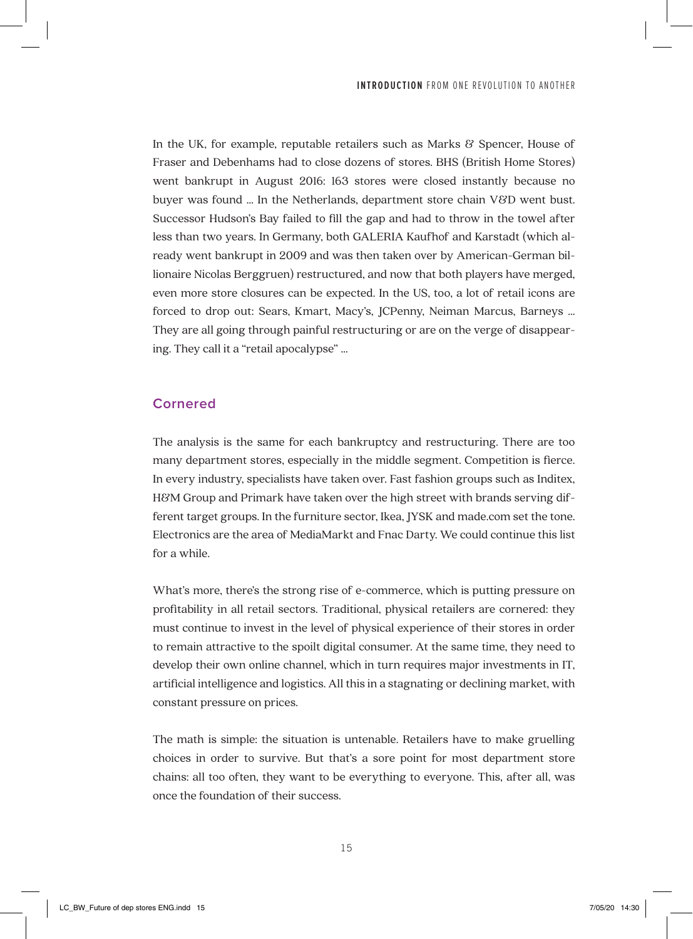In the UK, for example, reputable retailers such as Marks  $\mathcal{B}$  Spencer, House of Fraser and Debenhams had to close dozens of stores. BHS (British Home Stores) went bankrupt in August 2016: 163 stores were closed instantly because no buyer was found ... In the Netherlands, department store chain V&D went bust. Successor Hudson's Bay failed to fill the gap and had to throw in the towel after less than two years. In Germany, both GALERIA Kaufhof and Karstadt (which already went bankrupt in 2009 and was then taken over by American-German billionaire Nicolas Berggruen) restructured, and now that both players have merged, even more store closures can be expected. In the US, too, a lot of retail icons are forced to drop out: Sears, Kmart, Macy's, JCPenny, Neiman Marcus, Barneys ... They are all going through painful restructuring or are on the verge of disappearing. They call it a "retail apocalypse" ...

### **Cornered**

The analysis is the same for each bankruptcy and restructuring. There are too many department stores, especially in the middle segment. Competition is fierce. In every industry, specialists have taken over. Fast fashion groups such as Inditex, H&M Group and Primark have taken over the high street with brands serving different target groups. In the furniture sector, Ikea, JYSK and made.com set the tone. Electronics are the area of MediaMarkt and Fnac Darty. We could continue this list for a while.

What's more, there's the strong rise of e-commerce, which is putting pressure on profitability in all retail sectors. Traditional, physical retailers are cornered: they must continue to invest in the level of physical experience of their stores in order to remain attractive to the spoilt digital consumer. At the same time, they need to develop their own online channel, which in turn requires major investments in IT, artificial intelligence and logistics. All this in a stagnating or declining market, with constant pressure on prices.

The math is simple: the situation is untenable. Retailers have to make gruelling choices in order to survive. But that's a sore point for most department store chains: all too often, they want to be everything to everyone. This, after all, was once the foundation of their success.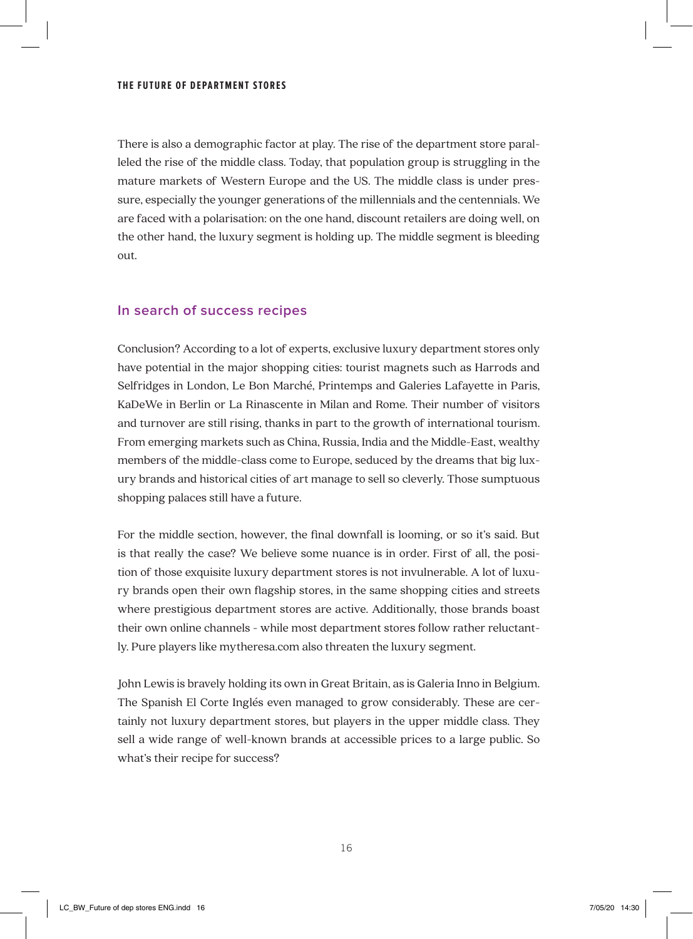#### **THE FUTURE OF DEPARTMENT STORES**

There is also a demographic factor at play. The rise of the department store paralleled the rise of the middle class. Today, that population group is struggling in the mature markets of Western Europe and the US. The middle class is under pressure, especially the younger generations of the millennials and the centennials. We are faced with a polarisation: on the one hand, discount retailers are doing well, on the other hand, the luxury segment is holding up. The middle segment is bleeding out.

### **In search of success recipes**

Conclusion? According to a lot of experts, exclusive luxury department stores only have potential in the major shopping cities: tourist magnets such as Harrods and Selfridges in London, Le Bon Marché, Printemps and Galeries Lafayette in Paris, KaDeWe in Berlin or La Rinascente in Milan and Rome. Their number of visitors and turnover are still rising, thanks in part to the growth of international tourism. From emerging markets such as China, Russia, India and the Middle-East, wealthy members of the middle-class come to Europe, seduced by the dreams that big luxury brands and historical cities of art manage to sell so cleverly. Those sumptuous shopping palaces still have a future.

For the middle section, however, the final downfall is looming, or so it's said. But is that really the case? We believe some nuance is in order. First of all, the position of those exquisite luxury department stores is not invulnerable. A lot of luxury brands open their own flagship stores, in the same shopping cities and streets where prestigious department stores are active. Additionally, those brands boast their own online channels - while most department stores follow rather reluctantly. Pure players like mytheresa.com also threaten the luxury segment.

John Lewis is bravely holding its own in Great Britain, as is Galeria Inno in Belgium. The Spanish El Corte Inglés even managed to grow considerably. These are certainly not luxury department stores, but players in the upper middle class. They sell a wide range of well-known brands at accessible prices to a large public. So what's their recipe for success?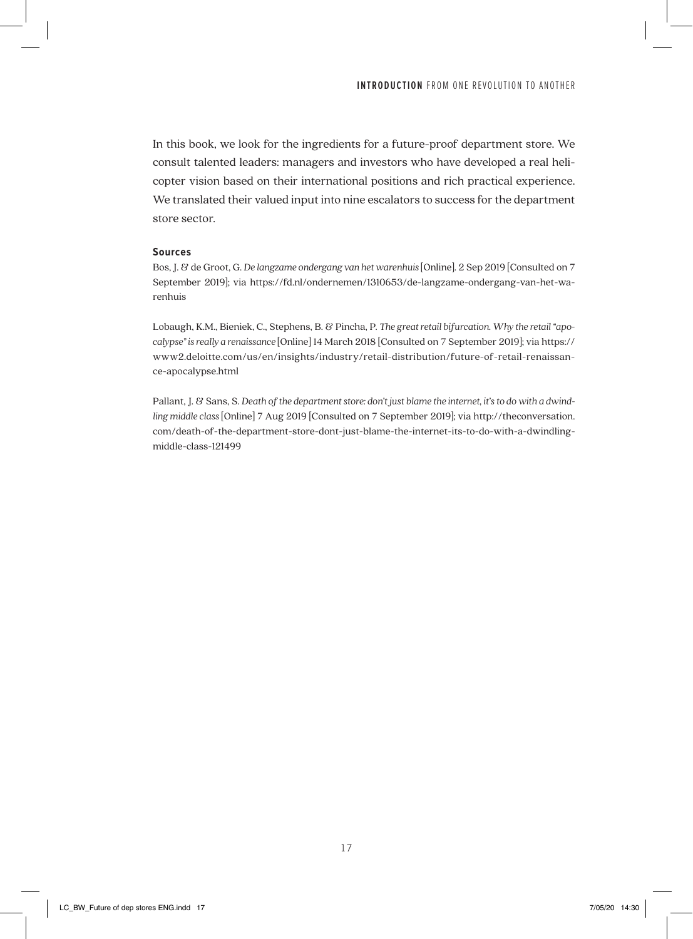In this book, we look for the ingredients for a future-proof department store. We consult talented leaders: managers and investors who have developed a real helicopter vision based on their international positions and rich practical experience. We translated their valued input into nine escalators to success for the department store sector.

#### **Sources**

Bos, J. & de Groot, G. *De langzame ondergang van het warenhuis* [Online]. 2 Sep 2019 [Consulted on 7 September 2019]; via https://fd.nl/ondernemen/1310653/de-langzame-ondergang-van-het-warenhuis

Lobaugh, K.M., Bieniek, C., Stephens, B. & Pincha, P. *The great retail bifurcation. Why the retail "apocalypse" is really a renaissance* [Online] 14 March 2018 [Consulted on 7 September 2019]; via https:// www2.deloitte.com/us/en/insights/industry/retail-distribution/future-of-retail-renaissance-apocalypse.html

Pallant, J. & Sans, S. *Death of the department store: don't just blame the internet, it's to do with a dwindling middle class* [Online] 7 Aug 2019 [Consulted on 7 September 2019]; via http://theconversation. com/death-of-the-department-store-dont-just-blame-the-internet-its-to-do-with-a-dwindlingmiddle-class-121499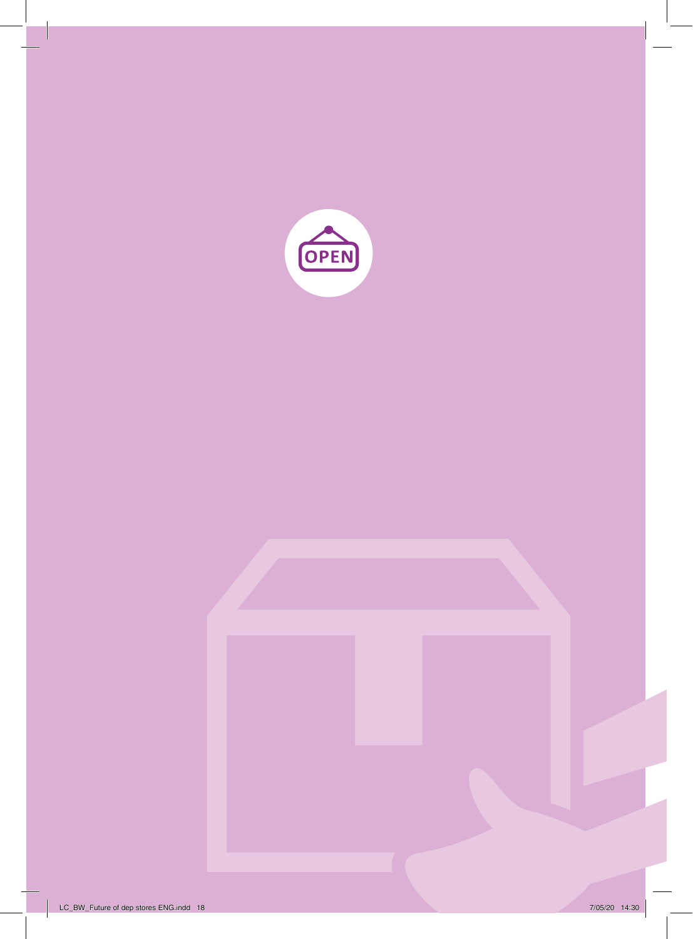

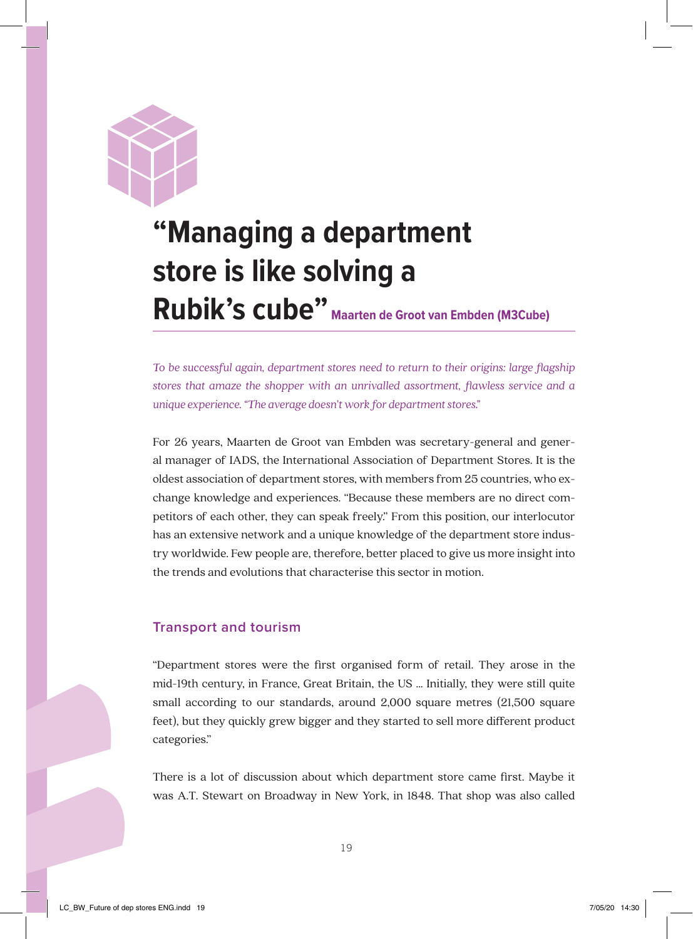

# **"Managing a department store is like solving a**  Rubik's cube" Maarten de Groot van Embden (M3Cube)

*To be successful again, department stores need to return to their origins: large flagship stores that amaze the shopper with an unrivalled assortment, flawless service and a unique experience. "The average doesn't work for department stores."*

For 26 years, Maarten de Groot van Embden was secretary-general and general manager of IADS, the International Association of Department Stores. It is the oldest association of department stores, with members from 25 countries, who exchange knowledge and experiences. "Because these members are no direct competitors of each other, they can speak freely." From this position, our interlocutor has an extensive network and a unique knowledge of the department store industry worldwide. Few people are, therefore, better placed to give us more insight into the trends and evolutions that characterise this sector in motion.

### **Transport and tourism**

"Department stores were the first organised form of retail. They arose in the mid-19th century, in France, Great Britain, the US ... Initially, they were still quite small according to our standards, around 2,000 square metres (21,500 square feet), but they quickly grew bigger and they started to sell more different product categories."

There is a lot of discussion about which department store came first. Maybe it was A.T. Stewart on Broadway in New York, in 1848. That shop was also called